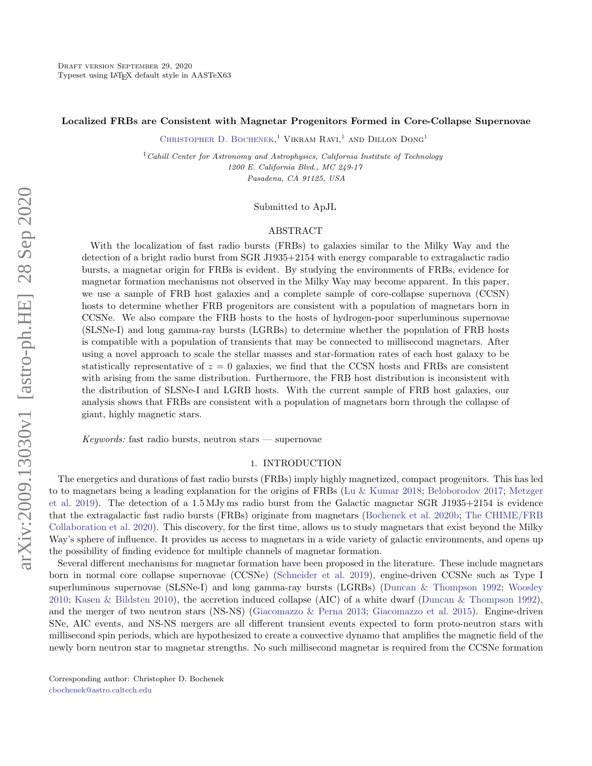### Localized FRBs are Consistent with Magnetar Progenitors Formed in Core-Collapse Supernovae

CHRISTOPHER D. BOCHENEK.<sup>1</sup> VIKRAM RAVI.<sup>1</sup> AND DILLON DONG<sup>1</sup>

<sup>1</sup> Cahill Center for Astronomy and Astrophysics, California Institute of Technology 1200 E. California Blvd., MC 249-17 Pasadena, CA 91125, USA

## Submitted to ApJL

#### ABSTRACT

With the localization of fast radio bursts (FRBs) to galaxies similar to the Milky Way and the detection of a bright radio burst from SGR J1935+2154 with energy comparable to extragalactic radio bursts, a magnetar origin for FRBs is evident. By studying the environments of FRBs, evidence for magnetar formation mechanisms not observed in the Milky Way may become apparent. In this paper, we use a sample of FRB host galaxies and a complete sample of core-collapse supernova (CCSN) hosts to determine whether FRB progenitors are consistent with a population of magnetars born in CCSNe. We also compare the FRB hosts to the hosts of hydrogen-poor superluminous supernovae (SLSNe-I) and long gamma-ray bursts (LGRBs) to determine whether the population of FRB hosts is compatible with a population of transients that may be connected to millisecond magnetars. After using a novel approach to scale the stellar masses and star-formation rates of each host galaxy to be statistically representative of  $z = 0$  galaxies, we find that the CCSN hosts and FRBs are consistent with arising from the same distribution. Furthermore, the FRB host distribution is inconsistent with the distribution of SLSNe-I and LGRB hosts. With the current sample of FRB host galaxies, our analysis shows that FRBs are consistent with a population of magnetars born through the collapse of giant, highly magnetic stars.

Keywords: fast radio bursts, neutron stars  $-$  supernovae

## 1. INTRODUCTION

The energetics and durations of fast radio bursts (FRBs) imply highly magnetized, compact progenitors. This has led to to magnetars being a leading explanation for the origins of FRBs [\(Lu & Kumar](#page-8-0) [2018;](#page-8-0) [Beloborodov](#page-7-0) [2017;](#page-7-0) [Metzger](#page-8-1) [et al.](#page-8-1) [2019\)](#page-8-1). The detection of a 1.5 MJy ms radio burst from the Galactic magnetar SGR J1935+2154 is evidence that the extragalactic fast radio bursts (FRBs) originate from magnetars [\(Bochenek et al.](#page-7-1) [2020b;](#page-7-1) [The CHIME/FRB](#page-8-2) [Collaboration et al.](#page-8-2) [2020\)](#page-8-2). This discovery, for the first time, allows us to study magnetars that exist beyond the Milky Way's sphere of influence. It provides us access to magnetars in a wide variety of galactic environments, and opens up the possibility of finding evidence for multiple channels of magnetar formation.

Several different mechanisms for magnetar formation have been proposed in the literature. These include magnetars born in normal core collapse supernovae (CCSNe) [\(Schneider et al.](#page-8-3) [2019\)](#page-8-3), engine-driven CCSNe such as Type I superluminous supernovae (SLSNe-I) and long gamma-ray bursts (LGRBs) [\(Duncan & Thompson](#page-8-4) [1992;](#page-8-4) [Woosley](#page-8-5) [2010;](#page-8-5) [Kasen & Bildsten](#page-8-6) [2010\)](#page-8-6), the accretion induced collapse (AIC) of a white dwarf [\(Duncan & Thompson](#page-8-4) [1992\)](#page-8-4), and the merger of two neutron stars (NS-NS) [\(Giacomazzo & Perna](#page-8-7) [2013;](#page-8-7) [Giacomazzo et al.](#page-8-8) [2015\)](#page-8-8). Engine-driven SNe, AIC events, and NS-NS mergers are all different transient events expected to form proto-neutron stars with millisecond spin periods, which are hypothesized to create a convective dynamo that amplifies the magnetic field of the newly born neutron star to magnetar strengths. No such millisecond magnetar is required from the CCSNe formation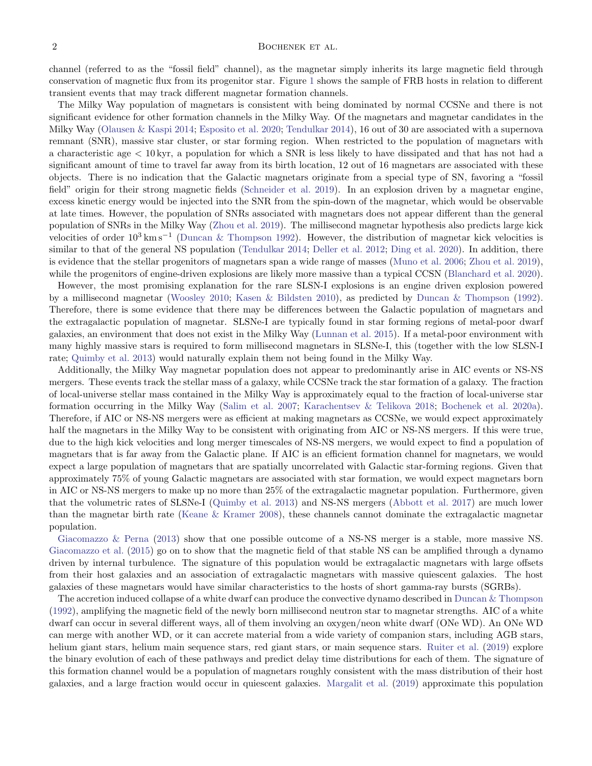## $2$  BOCHENEK ET AL.

channel (referred to as the "fossil field" channel), as the magnetar simply inherits its large magnetic field through conservation of magnetic flux from its progenitor star. Figure [1](#page-2-0) shows the sample of FRB hosts in relation to different transient events that may track different magnetar formation channels.

The Milky Way population of magnetars is consistent with being dominated by normal CCSNe and there is not significant evidence for other formation channels in the Milky Way. Of the magnetars and magnetar candidates in the Milky Way [\(Olausen & Kaspi](#page-8-9) [2014;](#page-8-9) [Esposito et al.](#page-8-10) [2020;](#page-8-10) [Tendulkar](#page-8-11) [2014\)](#page-8-11), 16 out of 30 are associated with a supernova remnant (SNR), massive star cluster, or star forming region. When restricted to the population of magnetars with a characteristic age < 10 kyr, a population for which a SNR is less likely to have dissipated and that has not had a significant amount of time to travel far away from its birth location, 12 out of 16 magnetars are associated with these objects. There is no indication that the Galactic magnetars originate from a special type of SN, favoring a "fossil field" origin for their strong magnetic fields [\(Schneider et al.](#page-8-3) [2019\)](#page-8-3). In an explosion driven by a magnetar engine, excess kinetic energy would be injected into the SNR from the spin-down of the magnetar, which would be observable at late times. However, the population of SNRs associated with magnetars does not appear different than the general population of SNRs in the Milky Way [\(Zhou et al.](#page-8-12) [2019\)](#page-8-12). The millisecond magnetar hypothesis also predicts large kick velocities of order  $10^3 \text{ km s}^{-1}$  [\(Duncan & Thompson](#page-8-4) [1992\)](#page-8-4). However, the distribution of magnetar kick velocities is similar to that of the general NS population [\(Tendulkar](#page-8-11) [2014;](#page-8-11) [Deller et al.](#page-8-13) [2012;](#page-8-13) [Ding et al.](#page-8-14) [2020\)](#page-8-14). In addition, there is evidence that the stellar progenitors of magnetars span a wide range of masses [\(Muno et al.](#page-8-15) [2006;](#page-8-15) [Zhou et al.](#page-8-12) [2019\)](#page-8-12), while the progenitors of engine-driven explosions are likely more massive than a typical CCSN [\(Blanchard et al.](#page-7-2) [2020\)](#page-7-2).

However, the most promising explanation for the rare SLSN-I explosions is an engine driven explosion powered by a millisecond magnetar [\(Woosley](#page-8-5) [2010;](#page-8-5) [Kasen & Bildsten](#page-8-6) [2010\)](#page-8-6), as predicted by [Duncan & Thompson](#page-8-4) [\(1992\)](#page-8-4). Therefore, there is some evidence that there may be differences between the Galactic population of magnetars and the extragalactic population of magnetar. SLSNe-I are typically found in star forming regions of metal-poor dwarf galaxies, an environment that does not exist in the Milky Way [\(Lunnan et al.](#page-8-16) [2015\)](#page-8-16). If a metal-poor environment with many highly massive stars is required to form millisecond magnetars in SLSNe-I, this (together with the low SLSN-I rate; [Quimby et al.](#page-8-17) [2013\)](#page-8-17) would naturally explain them not being found in the Milky Way.

Additionally, the Milky Way magnetar population does not appear to predominantly arise in AIC events or NS-NS mergers. These events track the stellar mass of a galaxy, while CCSNe track the star formation of a galaxy. The fraction of local-universe stellar mass contained in the Milky Way is approximately equal to the fraction of local-universe star formation occurring in the Milky Way [\(Salim et al.](#page-8-18) [2007;](#page-8-18) [Karachentsev & Telikova](#page-8-19) [2018;](#page-8-19) [Bochenek et al.](#page-7-3) [2020a\)](#page-7-3). Therefore, if AIC or NS-NS mergers were as efficient at making magnetars as CCSNe, we would expect approximately half the magnetars in the Milky Way to be consistent with originating from AIC or NS-NS mergers. If this were true, due to the high kick velocities and long merger timescales of NS-NS mergers, we would expect to find a population of magnetars that is far away from the Galactic plane. If AIC is an efficient formation channel for magnetars, we would expect a large population of magnetars that are spatially uncorrelated with Galactic star-forming regions. Given that approximately 75% of young Galactic magnetars are associated with star formation, we would expect magnetars born in AIC or NS-NS mergers to make up no more than 25% of the extragalactic magnetar population. Furthermore, given that the volumetric rates of SLSNe-I [\(Quimby et al.](#page-8-17) [2013\)](#page-8-17) and NS-NS mergers [\(Abbott et al.](#page-7-4) [2017\)](#page-7-4) are much lower than the magnetar birth rate [\(Keane & Kramer](#page-8-20) [2008\)](#page-8-20), these channels cannot dominate the extragalactic magnetar population.

[Giacomazzo & Perna](#page-8-7) [\(2013\)](#page-8-7) show that one possible outcome of a NS-NS merger is a stable, more massive NS. [Giacomazzo et al.](#page-8-8) [\(2015\)](#page-8-8) go on to show that the magnetic field of that stable NS can be amplified through a dynamo driven by internal turbulence. The signature of this population would be extragalactic magnetars with large offsets from their host galaxies and an association of extragalactic magnetars with massive quiescent galaxies. The host galaxies of these magnetars would have similar characteristics to the hosts of short gamma-ray bursts (SGRBs).

The accretion induced collapse of a white dwarf can produce the convective dynamo described in [Duncan & Thompson](#page-8-4) [\(1992\)](#page-8-4), amplifying the magnetic field of the newly born millisecond neutron star to magnetar strengths. AIC of a white dwarf can occur in several different ways, all of them involving an oxygen/neon white dwarf (ONe WD). An ONe WD can merge with another WD, or it can accrete material from a wide variety of companion stars, including AGB stars, helium giant stars, helium main sequence stars, red giant stars, or main sequence stars. [Ruiter et al.](#page-8-21) [\(2019\)](#page-8-21) explore the binary evolution of each of these pathways and predict delay time distributions for each of them. The signature of this formation channel would be a population of magnetars roughly consistent with the mass distribution of their host galaxies, and a large fraction would occur in quiescent galaxies. [Margalit et al.](#page-8-22) [\(2019\)](#page-8-22) approximate this population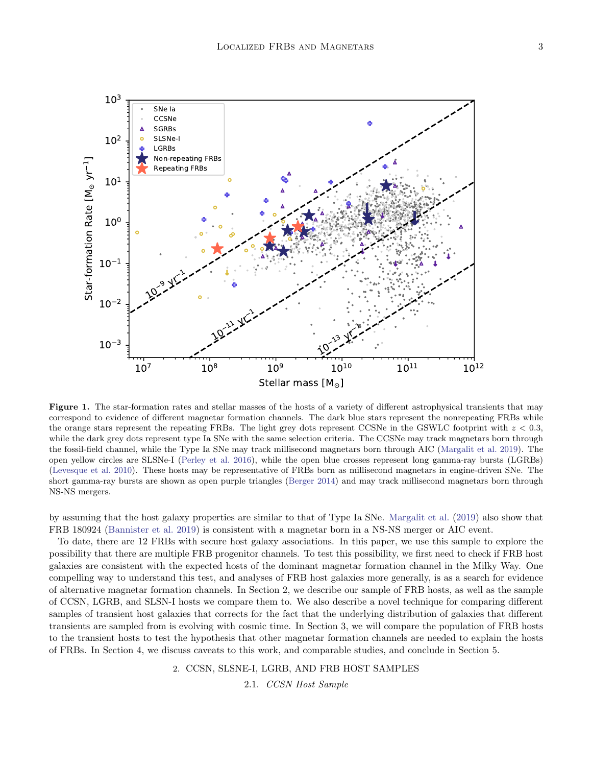

<span id="page-2-0"></span>Figure 1. The star-formation rates and stellar masses of the hosts of a variety of different astrophysical transients that may correspond to evidence of different magnetar formation channels. The dark blue stars represent the nonrepeating FRBs while the orange stars represent the repeating FRBs. The light grey dots represent CCSNe in the GSWLC footprint with  $z < 0.3$ , while the dark grey dots represent type Ia SNe with the same selection criteria. The CCSNe may track magnetars born through the fossil-field channel, while the Type Ia SNe may track millisecond magnetars born through AIC [\(Margalit et al.](#page-8-22) [2019\)](#page-8-22). The open yellow circles are SLSNe-I [\(Perley et al.](#page-8-23) [2016\)](#page-8-23), while the open blue crosses represent long gamma-ray bursts (LGRBs) [\(Levesque et al.](#page-8-24) [2010\)](#page-8-24). These hosts may be representative of FRBs born as millisecond magnetars in engine-driven SNe. The short gamma-ray bursts are shown as open purple triangles [\(Berger](#page-7-5) [2014\)](#page-7-5) and may track millisecond magnetars born through NS-NS mergers.

by assuming that the host galaxy properties are similar to that of Type Ia SNe. [Margalit et al.](#page-8-22) [\(2019\)](#page-8-22) also show that FRB 180924 [\(Bannister et al.](#page-7-6) [2019\)](#page-7-6) is consistent with a magnetar born in a NS-NS merger or AIC event.

To date, there are 12 FRBs with secure host galaxy associations. In this paper, we use this sample to explore the possibility that there are multiple FRB progenitor channels. To test this possibility, we first need to check if FRB host galaxies are consistent with the expected hosts of the dominant magnetar formation channel in the Milky Way. One compelling way to understand this test, and analyses of FRB host galaxies more generally, is as a search for evidence of alternative magnetar formation channels. In Section 2, we describe our sample of FRB hosts, as well as the sample of CCSN, LGRB, and SLSN-I hosts we compare them to. We also describe a novel technique for comparing different samples of transient host galaxies that corrects for the fact that the underlying distribution of galaxies that different transients are sampled from is evolving with cosmic time. In Section 3, we will compare the population of FRB hosts to the transient hosts to test the hypothesis that other magnetar formation channels are needed to explain the hosts of FRBs. In Section 4, we discuss caveats to this work, and comparable studies, and conclude in Section 5.

2. CCSN, SLSNE-I, LGRB, AND FRB HOST SAMPLES

2.1. CCSN Host Sample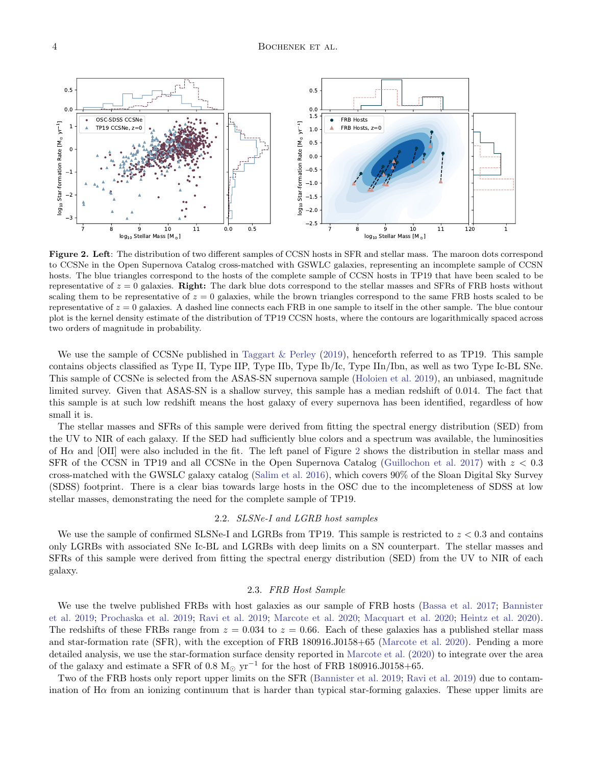

<span id="page-3-0"></span>Figure 2. Left: The distribution of two different samples of CCSN hosts in SFR and stellar mass. The maroon dots correspond to CCSNe in the Open Supernova Catalog cross-matched with GSWLC galaxies, representing an incomplete sample of CCSN hosts. The blue triangles correspond to the hosts of the complete sample of CCSN hosts in TP19 that have been scaled to be representative of  $z = 0$  galaxies. Right: The dark blue dots correspond to the stellar masses and SFRs of FRB hosts without scaling them to be representative of  $z = 0$  galaxies, while the brown triangles correspond to the same FRB hosts scaled to be representative of  $z = 0$  galaxies. A dashed line connects each FRB in one sample to itself in the other sample. The blue contour plot is the kernel density estimate of the distribution of TP19 CCSN hosts, where the contours are logarithmically spaced across two orders of magnitude in probability.

We use the sample of CCSNe published in [Taggart & Perley](#page-8-25) [\(2019\)](#page-8-25), henceforth referred to as TP19. This sample contains objects classified as Type II, Type IIP, Type IIb, Type Ib/Ic, Type IIn/Ibn, as well as two Type Ic-BL SNe. This sample of CCSNe is selected from the ASAS-SN supernova sample [\(Holoien et al.](#page-8-26) [2019\)](#page-8-26), an unbiased, magnitude limited survey. Given that ASAS-SN is a shallow survey, this sample has a median redshift of 0.014. The fact that this sample is at such low redshift means the host galaxy of every supernova has been identified, regardless of how small it is.

The stellar masses and SFRs of this sample were derived from fitting the spectral energy distribution (SED) from the UV to NIR of each galaxy. If the SED had sufficiently blue colors and a spectrum was available, the luminosities of  $H\alpha$  and [OII] were also included in the fit. The left panel of Figure [2](#page-3-0) shows the distribution in stellar mass and SFR of the CCSN in TP19 and all CCSNe in the Open Supernova Catalog [\(Guillochon et al.](#page-8-27) [2017\)](#page-8-27) with  $z < 0.3$ cross-matched with the GWSLC galaxy catalog [\(Salim et al.](#page-8-28) [2016\)](#page-8-28), which covers 90% of the Sloan Digital Sky Survey (SDSS) footprint. There is a clear bias towards large hosts in the OSC due to the incompleteness of SDSS at low stellar masses, demonstrating the need for the complete sample of TP19.

#### 2.2. SLSNe-I and LGRB host samples

We use the sample of confirmed SLSNe-I and LGRBs from TP19. This sample is restricted to  $z < 0.3$  and contains only LGRBs with associated SNe Ic-BL and LGRBs with deep limits on a SN counterpart. The stellar masses and SFRs of this sample were derived from fitting the spectral energy distribution (SED) from the UV to NIR of each galaxy.

### 2.3. FRB Host Sample

We use the twelve published FRBs with host galaxies as our sample of FRB hosts [\(Bassa et al.](#page-7-7) [2017;](#page-7-7) [Bannister](#page-7-6) [et al.](#page-7-6) [2019;](#page-7-6) [Prochaska et al.](#page-8-29) [2019;](#page-8-29) [Ravi et al.](#page-8-30) [2019;](#page-8-30) [Marcote et al.](#page-8-31) [2020;](#page-8-31) [Macquart et al.](#page-8-32) [2020;](#page-8-32) [Heintz et al.](#page-8-33) [2020\)](#page-8-33). The redshifts of these FRBs range from  $z = 0.034$  to  $z = 0.66$ . Each of these galaxies has a published stellar mass and star-formation rate (SFR), with the exception of FRB 180916.J0158+65 [\(Marcote et al.](#page-8-31) [2020\)](#page-8-31). Pending a more detailed analysis, we use the star-formation surface density reported in [Marcote et al.](#page-8-31) [\(2020\)](#page-8-31) to integrate over the area of the galaxy and estimate a SFR of 0.8 M<sub>☉</sub>  $yr^{-1}$  for the host of FRB 180916.J0158+65.

Two of the FRB hosts only report upper limits on the SFR [\(Bannister et al.](#page-7-6) [2019;](#page-7-6) [Ravi et al.](#page-8-30) [2019\)](#page-8-30) due to contamination of  $H\alpha$  from an ionizing continuum that is harder than typical star-forming galaxies. These upper limits are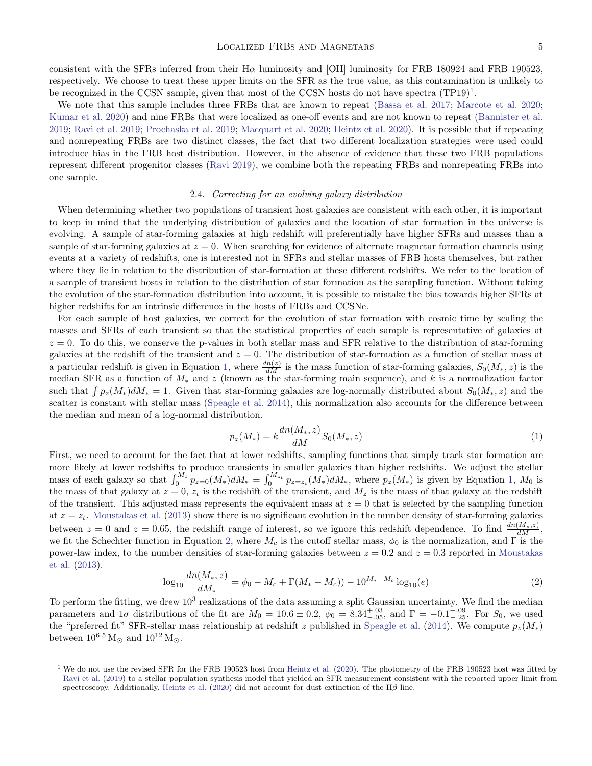consistent with the SFRs inferred from their H $\alpha$  luminosity and [OII] luminosity for FRB 180924 and FRB 190523, respectively. We choose to treat these upper limits on the SFR as the true value, as this contamination is unlikely to be recognized in the CCSN sample, given that most of the CCSN hosts do not have spectra  $(TP19)^1$  $(TP19)^1$  $(TP19)^1$ .

We note that this sample includes three FRBs that are known to repeat [\(Bassa et al.](#page-7-7) [2017;](#page-7-7) [Marcote et al.](#page-8-31) [2020;](#page-8-31) [Kumar et al.](#page-8-34) [2020\)](#page-8-34) and nine FRBs that were localized as one-off events and are not known to repeat [\(Bannister et al.](#page-7-6) [2019;](#page-7-6) [Ravi et al.](#page-8-30) [2019;](#page-8-30) [Prochaska et al.](#page-8-29) [2019;](#page-8-29) [Macquart et al.](#page-8-32) [2020;](#page-8-32) [Heintz et al.](#page-8-33) [2020\)](#page-8-33). It is possible that if repeating and nonrepeating FRBs are two distinct classes, the fact that two different localization strategies were used could introduce bias in the FRB host distribution. However, in the absence of evidence that these two FRB populations represent different progenitor classes [\(Ravi](#page-8-35) [2019\)](#page-8-35), we combine both the repeating FRBs and nonrepeating FRBs into one sample.

# 2.4. Correcting for an evolving galaxy distribution

When determining whether two populations of transient host galaxies are consistent with each other, it is important to keep in mind that the underlying distribution of galaxies and the location of star formation in the universe is evolving. A sample of star-forming galaxies at high redshift will preferentially have higher SFRs and masses than a sample of star-forming galaxies at  $z = 0$ . When searching for evidence of alternate magnetar formation channels using events at a variety of redshifts, one is interested not in SFRs and stellar masses of FRB hosts themselves, but rather where they lie in relation to the distribution of star-formation at these different redshifts. We refer to the location of a sample of transient hosts in relation to the distribution of star formation as the sampling function. Without taking the evolution of the star-formation distribution into account, it is possible to mistake the bias towards higher SFRs at higher redshifts for an intrinsic difference in the hosts of FRBs and CCSNe.

For each sample of host galaxies, we correct for the evolution of star formation with cosmic time by scaling the masses and SFRs of each transient so that the statistical properties of each sample is representative of galaxies at  $z = 0$ . To do this, we conserve the p-values in both stellar mass and SFR relative to the distribution of star-forming galaxies at the redshift of the transient and  $z = 0$ . The distribution of star-formation as a function of stellar mass at a particular redshift is given in Equation [1,](#page-4-1) where  $\frac{dn(z)}{dM}$  is the mass function of star-forming galaxies,  $S_0(M_*, z)$  is the median SFR as a function of M<sup>∗</sup> and z (known as the star-forming main sequence), and k is a normalization factor such that  $\int p_z(M_*)dM_* = 1$ . Given that star-forming galaxies are log-normally distributed about  $S_0(M_*, z)$  and the scatter is constant with stellar mass [\(Speagle et al.](#page-8-36) [2014\)](#page-8-36), this normalization also accounts for the difference between the median and mean of a log-normal distribution.

<span id="page-4-1"></span>
$$
p_z(M_*) = k \frac{dn(M_*, z)}{dM} S_0(M_*, z)
$$
\n(1)

First, we need to account for the fact that at lower redshifts, sampling functions that simply track star formation are more likely at lower redshifts to produce transients in smaller galaxies than higher redshifts. We adjust the stellar mass of each galaxy so that  $\int_0^{M_0} p_{z=0}(M_*) dM_* = \int_0^{M_{z_t}} p_{z=z_t}(M_*) dM_*$ , where  $p_z(M_*)$  is given by Equation [1,](#page-4-1)  $M_0$  is the mass of that galaxy at  $z = 0$ ,  $z_t$  is the redshift of the transient, and  $M_z$  is the mass of that galaxy at the redshift of the transient. This adjusted mass represents the equivalent mass at  $z = 0$  that is selected by the sampling function at  $z = z_t$ . [Moustakas et al.](#page-8-37) [\(2013\)](#page-8-37) show there is no significant evolution in the number density of star-forming galaxies between  $z = 0$  and  $z = 0.65$ , the redshift range of interest, so we ignore this redshift dependence. To find  $\frac{dn(M_*,z)}{dM}$ , we fit the Schechter function in Equation [2,](#page-4-2) where  $M_c$  is the cutoff stellar mass,  $\phi_0$  is the normalization, and  $\Gamma$  is the power-law index, to the number densities of star-forming galaxies between  $z = 0.2$  and  $z = 0.3$  reported in [Moustakas](#page-8-37) [et al.](#page-8-37) [\(2013\)](#page-8-37).

<span id="page-4-2"></span>
$$
\log_{10} \frac{dn(M_*,z)}{dM_*} = \phi_0 - M_c + \Gamma(M_* - M_c) - 10^{M_* - M_c} \log_{10}(e)
$$
\n(2)

To perform the fitting, we drew  $10^3$  realizations of the data assuming a split Gaussian uncertainty. We find the median parameters and  $1\sigma$  distributions of the fit are  $M_0 = 10.6 \pm 0.2$ ,  $\phi_0 = 8.34^{+.03}_{-.05}$ , and  $\Gamma = -0.1^{+.09}_{-.25}$ . For  $S_0$ , we used the "preferred fit" SFR-stellar mass relationship at redshift z published in [Speagle et al.](#page-8-36) [\(2014\)](#page-8-36). We compute  $p_z(M_*)$ between  $10^{6.5}$  M<sub> $\odot$ </sub> and  $10^{12}$  M<sub> $\odot$ </sub>.

<span id="page-4-0"></span><sup>&</sup>lt;sup>1</sup> We do not use the revised SFR for the FRB 190523 host from [Heintz et al.](#page-8-33) [\(2020\)](#page-8-33). The photometry of the FRB 190523 host was fitted by [Ravi et al.](#page-8-30) [\(2019\)](#page-8-30) to a stellar population synthesis model that yielded an SFR measurement consistent with the reported upper limit from spectroscopy. Additionally, [Heintz et al.](#page-8-33) [\(2020\)](#page-8-33) did not account for dust extinction of the H $\beta$  line.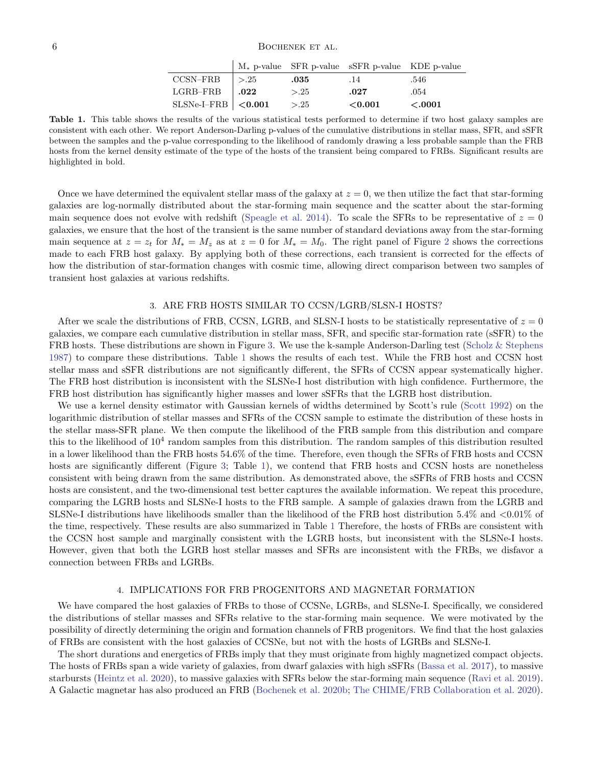|                             |          | $M_*$ p-value SFR p-value SSFR p-value KDE p-value |        |
|-----------------------------|----------|----------------------------------------------------|--------|
| $CCSN–FRB$   >.25           | $.035\,$ | .14                                                | .546   |
| LGRB-FRB $\vert .022 \vert$ | > 25     | .027                                               | .054   |
| SLSNe-I-FRB $ $ <0.001      | > 0.25   | $<$ 0.001                                          | <.0001 |

<span id="page-5-0"></span>Table 1. This table shows the results of the various statistical tests performed to determine if two host galaxy samples are consistent with each other. We report Anderson-Darling p-values of the cumulative distributions in stellar mass, SFR, and sSFR between the samples and the p-value corresponding to the likelihood of randomly drawing a less probable sample than the FRB hosts from the kernel density estimate of the type of the hosts of the transient being compared to FRBs. Significant results are highlighted in bold.

Once we have determined the equivalent stellar mass of the galaxy at  $z = 0$ , we then utilize the fact that star-forming galaxies are log-normally distributed about the star-forming main sequence and the scatter about the star-forming main sequence does not evolve with redshift [\(Speagle et al.](#page-8-36) [2014\)](#page-8-36). To scale the SFRs to be representative of  $z = 0$ galaxies, we ensure that the host of the transient is the same number of standard deviations away from the star-forming main sequence at  $z = z_t$  for  $M_* = M_z$  as at  $z = 0$  for  $M_* = M_0$ . The right panel of Figure [2](#page-3-0) shows the corrections made to each FRB host galaxy. By applying both of these corrections, each transient is corrected for the effects of how the distribution of star-formation changes with cosmic time, allowing direct comparison between two samples of transient host galaxies at various redshifts.

### 3. ARE FRB HOSTS SIMILAR TO CCSN/LGRB/SLSN-I HOSTS?

After we scale the distributions of FRB, CCSN, LGRB, and SLSN-I hosts to be statistically representative of  $z = 0$ galaxies, we compare each cumulative distribution in stellar mass, SFR, and specific star-formation rate (sSFR) to the FRB hosts. These distributions are shown in Figure [3.](#page-6-0) We use the k-sample Anderson-Darling test [\(Scholz & Stephens](#page-8-38) [1987\)](#page-8-38) to compare these distributions. Table [1](#page-5-0) shows the results of each test. While the FRB host and CCSN host stellar mass and sSFR distributions are not significantly different, the SFRs of CCSN appear systematically higher. The FRB host distribution is inconsistent with the SLSNe-I host distribution with high confidence. Furthermore, the FRB host distribution has significantly higher masses and lower sSFRs that the LGRB host distribution.

We use a kernel density estimator with Gaussian kernels of widths determined by Scott's rule [\(Scott](#page-8-39) [1992\)](#page-8-39) on the logarithmic distribution of stellar masses and SFRs of the CCSN sample to estimate the distribution of these hosts in the stellar mass-SFR plane. We then compute the likelihood of the FRB sample from this distribution and compare this to the likelihood of  $10^4$  random samples from this distribution. The random samples of this distribution resulted in a lower likelihood than the FRB hosts 54.6% of the time. Therefore, even though the SFRs of FRB hosts and CCSN hosts are significantly different (Figure [3;](#page-6-0) Table [1\)](#page-5-0), we contend that FRB hosts and CCSN hosts are nonetheless consistent with being drawn from the same distribution. As demonstrated above, the sSFRs of FRB hosts and CCSN hosts are consistent, and the two-dimensional test better captures the available information. We repeat this procedure, comparing the LGRB hosts and SLSNe-I hosts to the FRB sample. A sample of galaxies drawn from the LGRB and SLSNe-I distributions have likelihoods smaller than the likelihood of the FRB host distribution 5.4% and <0.01% of the time, respectively. These results are also summarized in Table [1](#page-5-0) Therefore, the hosts of FRBs are consistent with the CCSN host sample and marginally consistent with the LGRB hosts, but inconsistent with the SLSNe-I hosts. However, given that both the LGRB host stellar masses and SFRs are inconsistent with the FRBs, we disfavor a connection between FRBs and LGRBs.

## 4. IMPLICATIONS FOR FRB PROGENITORS AND MAGNETAR FORMATION

We have compared the host galaxies of FRBs to those of CCSNe, LGRBs, and SLSNe-I. Specifically, we considered the distributions of stellar masses and SFRs relative to the star-forming main sequence. We were motivated by the possibility of directly determining the origin and formation channels of FRB progenitors. We find that the host galaxies of FRBs are consistent with the host galaxies of CCSNe, but not with the hosts of LGRBs and SLSNe-I.

The short durations and energetics of FRBs imply that they must originate from highly magnetized compact objects. The hosts of FRBs span a wide variety of galaxies, from dwarf galaxies with high sSFRs [\(Bassa et al.](#page-7-7) [2017\)](#page-7-7), to massive starbursts [\(Heintz et al.](#page-8-33) [2020\)](#page-8-33), to massive galaxies with SFRs below the star-forming main sequence [\(Ravi et al.](#page-8-30) [2019\)](#page-8-30). A Galactic magnetar has also produced an FRB [\(Bochenek et al.](#page-7-1) [2020b;](#page-7-1) [The CHIME/FRB Collaboration et al.](#page-8-2) [2020\)](#page-8-2).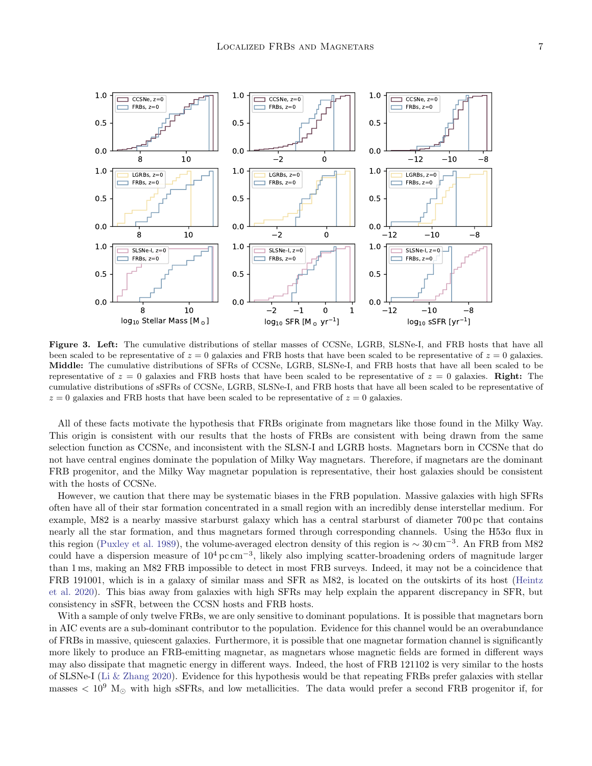

<span id="page-6-0"></span>Figure 3. Left: The cumulative distributions of stellar masses of CCSNe, LGRB, SLSNe-I, and FRB hosts that have all been scaled to be representative of  $z = 0$  galaxies and FRB hosts that have been scaled to be representative of  $z = 0$  galaxies. Middle: The cumulative distributions of SFRs of CCSNe, LGRB, SLSNe-I, and FRB hosts that have all been scaled to be representative of  $z = 0$  galaxies and FRB hosts that have been scaled to be representative of  $z = 0$  galaxies. Right: The cumulative distributions of sSFRs of CCSNe, LGRB, SLSNe-I, and FRB hosts that have all been scaled to be representative of  $z = 0$  galaxies and FRB hosts that have been scaled to be representative of  $z = 0$  galaxies.

All of these facts motivate the hypothesis that FRBs originate from magnetars like those found in the Milky Way. This origin is consistent with our results that the hosts of FRBs are consistent with being drawn from the same selection function as CCSNe, and inconsistent with the SLSN-I and LGRB hosts. Magnetars born in CCSNe that do not have central engines dominate the population of Milky Way magnetars. Therefore, if magnetars are the dominant FRB progenitor, and the Milky Way magnetar population is representative, their host galaxies should be consistent with the hosts of CCSNe.

However, we caution that there may be systematic biases in the FRB population. Massive galaxies with high SFRs often have all of their star formation concentrated in a small region with an incredibly dense interstellar medium. For example, M82 is a nearby massive starburst galaxy which has a central starburst of diameter 700 pc that contains nearly all the star formation, and thus magnetars formed through corresponding channels. Using the H53 $\alpha$  flux in this region [\(Puxley et al.](#page-8-40) [1989\)](#page-8-40), the volume-averaged electron density of this region is  $\sim 30 \text{ cm}^{-3}$ . An FRB from M82 could have a dispersion measure of  $10^4 \text{ pc cm}^{-3}$ , likely also implying scatter-broadening orders of magnitude larger than 1 ms, making an M82 FRB impossible to detect in most FRB surveys. Indeed, it may not be a coincidence that FRB 191001, which is in a galaxy of similar mass and SFR as M82, is located on the outskirts of its host [\(Heintz](#page-8-33) [et al.](#page-8-33) [2020\)](#page-8-33). This bias away from galaxies with high SFRs may help explain the apparent discrepancy in SFR, but consistency in sSFR, between the CCSN hosts and FRB hosts.

With a sample of only twelve FRBs, we are only sensitive to dominant populations. It is possible that magnetars born in AIC events are a sub-dominant contributor to the population. Evidence for this channel would be an overabundance of FRBs in massive, quiescent galaxies. Furthermore, it is possible that one magnetar formation channel is significantly more likely to produce an FRB-emitting magnetar, as magnetars whose magnetic fields are formed in different ways may also dissipate that magnetic energy in different ways. Indeed, the host of FRB 121102 is very similar to the hosts of SLSNe-I [\(Li & Zhang](#page-8-41) [2020\)](#page-8-41). Evidence for this hypothesis would be that repeating FRBs prefer galaxies with stellar masses  $< 10^9$  M<sub> $\odot$ </sub> with high sSFRs, and low metallicities. The data would prefer a second FRB progenitor if, for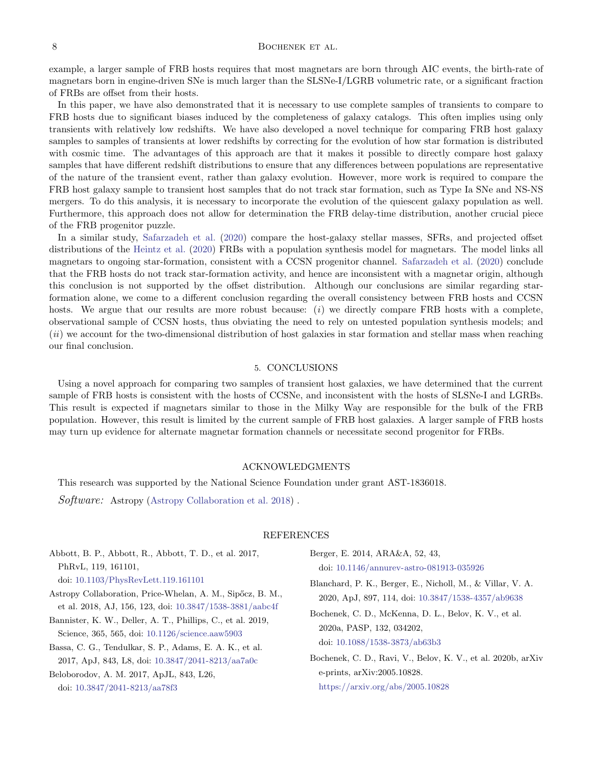## 8 BOCHENEK ET AL.

example, a larger sample of FRB hosts requires that most magnetars are born through AIC events, the birth-rate of magnetars born in engine-driven SNe is much larger than the SLSNe-I/LGRB volumetric rate, or a significant fraction of FRBs are offset from their hosts.

In this paper, we have also demonstrated that it is necessary to use complete samples of transients to compare to FRB hosts due to significant biases induced by the completeness of galaxy catalogs. This often implies using only transients with relatively low redshifts. We have also developed a novel technique for comparing FRB host galaxy samples to samples of transients at lower redshifts by correcting for the evolution of how star formation is distributed with cosmic time. The advantages of this approach are that it makes it possible to directly compare host galaxy samples that have different redshift distributions to ensure that any differences between populations are representative of the nature of the transient event, rather than galaxy evolution. However, more work is required to compare the FRB host galaxy sample to transient host samples that do not track star formation, such as Type Ia SNe and NS-NS mergers. To do this analysis, it is necessary to incorporate the evolution of the quiescent galaxy population as well. Furthermore, this approach does not allow for determination the FRB delay-time distribution, another crucial piece of the FRB progenitor puzzle.

In a similar study, [Safarzadeh et al.](#page-8-42) [\(2020\)](#page-8-42) compare the host-galaxy stellar masses, SFRs, and projected offset distributions of the [Heintz et al.](#page-8-33) [\(2020\)](#page-8-33) FRBs with a population synthesis model for magnetars. The model links all magnetars to ongoing star-formation, consistent with a CCSN progenitor channel. [Safarzadeh et al.](#page-8-42) [\(2020\)](#page-8-42) conclude that the FRB hosts do not track star-formation activity, and hence are inconsistent with a magnetar origin, although this conclusion is not supported by the offset distribution. Although our conclusions are similar regarding starformation alone, we come to a different conclusion regarding the overall consistency between FRB hosts and CCSN hosts. We argue that our results are more robust because: (i) we directly compare FRB hosts with a complete, observational sample of CCSN hosts, thus obviating the need to rely on untested population synthesis models; and (ii) we account for the two-dimensional distribution of host galaxies in star formation and stellar mass when reaching our final conclusion.

### 5. CONCLUSIONS

Using a novel approach for comparing two samples of transient host galaxies, we have determined that the current sample of FRB hosts is consistent with the hosts of CCSNe, and inconsistent with the hosts of SLSNe-I and LGRBs. This result is expected if magnetars similar to those in the Milky Way are responsible for the bulk of the FRB population. However, this result is limited by the current sample of FRB host galaxies. A larger sample of FRB hosts may turn up evidence for alternate magnetar formation channels or necessitate second progenitor for FRBs.

#### ACKNOWLEDGMENTS

This research was supported by the National Science Foundation under grant AST-1836018.

Software: Astropy [\(Astropy Collaboration et al.](#page-7-8) [2018\)](#page-7-8).

#### <span id="page-7-5"></span><span id="page-7-3"></span><span id="page-7-2"></span><span id="page-7-1"></span>REFERENCES

<span id="page-7-8"></span><span id="page-7-7"></span><span id="page-7-6"></span><span id="page-7-4"></span><span id="page-7-0"></span>

| Abbott, B. P., Abbott, R., Abbott, T. D., et al. 2017,                                                                 | Berger, E. 2014, ARA&A, 52, 43,                                                                                                                                                               |  |  |
|------------------------------------------------------------------------------------------------------------------------|-----------------------------------------------------------------------------------------------------------------------------------------------------------------------------------------------|--|--|
| PhRvL, 119, 161101,                                                                                                    | doi: $10.1146/annurev-astro-081913-035926$                                                                                                                                                    |  |  |
| doi: 10.1103/PhysRevLett.119.161101                                                                                    | Blanchard, P. K., Berger, E., Nicholl, M., & Villar, V. A.<br>2020, ApJ, 897, 114, doi: 10.3847/1538-4357/ab9638<br>Bochenek, C. D., McKenna, D. L., Belov, K. V., et al.                     |  |  |
| Astropy Collaboration, Price-Whelan, A. M., Sipőcz, B. M.,<br>et al. 2018, AJ, 156, 123, doi: 10.3847/1538-3881/aabc4f |                                                                                                                                                                                               |  |  |
| Bannister, K. W., Deller, A. T., Phillips, C., et al. 2019,<br>Science, 365, 565, doi: 10.1126/science.aaw5903         | 2020a, PASP, 132, 034202,<br>doi: 10.1088/1538-3873/ab63b3<br>Bochenek, C. D., Ravi, V., Belov, K. V., et al. 2020b, arXiv<br>e-prints, arXiv:2005.10828.<br>https://arxiv.org/abs/2005.10828 |  |  |
| Bassa, C. G., Tendulkar, S. P., Adams, E. A. K., et al.<br>2017, ApJ, 843, L8, doi: 10.3847/2041-8213/aa7a0c           |                                                                                                                                                                                               |  |  |
| Beloborodov, A. M. 2017, ApJL, 843, L26,<br>doi: $10.3847/2041 - 8213/aa78f3$                                          |                                                                                                                                                                                               |  |  |